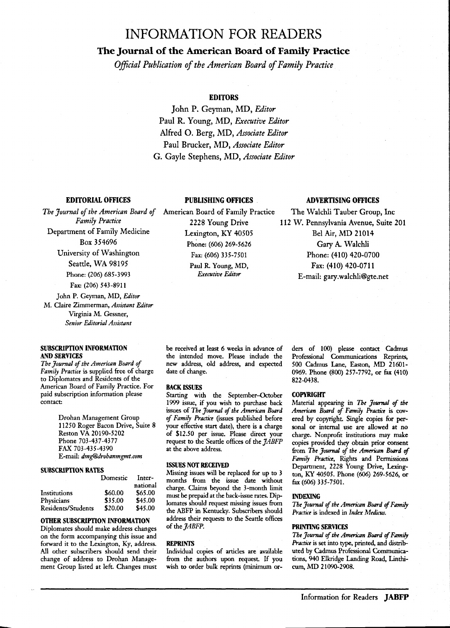# **INFORMATION FOR READERS**

# **The Journal of the American Board of Family Practice**

*Official Publication of the American Board of Family Practice* 

# **EDITORS**

John P. Geyman, MD, *Editor*  Paul R. Young, MD, *Executive Editor*  Alfred O. Berg, MD, *Associate Editor*  Paul Brucker, MD, *Associate Editor*  G. Gayle Stephens, MD, *Associate Editor* 

# **EDITORIAL OFFICES**

*The Journal of the American Board of Family Practice*  Department of Family Medicine Box 354696 University of Washington Seattle, WA 98195 Phone: (206) 685-3993

Fax: (206) 543-8911

John P. Geyman, MD, *Editor*  M. Claire Zimmerman, *Assistant Editor*  Virginia M. Gessner, *Senior Editorial Assistant* 

# **SUBSCRIPTION INFORMATION AND SERVICES**

*The Journal of the American Board of Family Practice* is supplied free of charge to Diplomates and Residents of the American Board of Family Practice. For paid subscription information please contact:

> Drohan Management Group 11250 Roger Bacon Drive, Suite 8 Reston VA 20190-5202 Phone 703-437-4377 FAX 703-435-4390 E-mail: *dmg@drohanmgmt.com*

#### **SUBSCRIYl'ION RATES**

|                    | Domestic | Inter-   |
|--------------------|----------|----------|
|                    |          | national |
| Institutions       | \$60.00  | \$65.00  |
| Physicians         | \$35.00  | \$45.00  |
| Residents/Students | \$20.00  | \$45.00  |

# **OTHER SUBSCRIPTION INFORMATION**

Diplomates should make address changes on the form accompanying this issue and forward it to the Lexington, Ky, address. All other subscribers should send their change of address to Drohan Management Group listed at left. Changes must American Board of Family Practice 2228 Young Drive Lexington, KY 40505 Phone: (606) 269-5626 Fax: (606) *33S-7S01*  Paul R. Young, MD, *Executive Editor* 

# **PUBLISHING OFFICES ADVERTISING OFFICES**

The Walchli Tauber Group, Inc 112 W. Pennsylvania Avenue, Suite 201 Bel Air, MD 21014 Gary A. Walchli Phone: (410) 420-0700 Fax: (410) 420-0711 E-mail: gary.walchli@gte.net

be received at least 6 weeks in advance of the intended move. Please include the new address, old address, and expected date of change.

## **BACK ISSUES**

Starting with the September-October 1999 issue, if you wish to purchase back issues of *The Jrrurnal* of *the Americtm Board*  of *Family Practice* (issues published before your effective start date), there is a charge of \$12.50 per issue. Please direct your request to the Seattle offices of the *JABFP*  at the above address.

## **ISSUFS NOT RECEIVED**

Missing issues will be replaced for up to 3 months from the issue date without charge. Claims beyond the 3-month limit must be prepaid at the back-issue rates. Diplomates should request missing issues from the ABFP in Kentucky. Subscribers should address their requests to the Seattle offices of the *JABFP.* 

# **REPRINTS**

Individual copies of articles are available from the authors upon request. If you wish to order bulk reprints (minimum orders of 100) please contact Cadmus Professional Communications Reprints, SOO Cadmus Lane, Easton, MD 21601- 0969. Phone (800) 257-7792, or fax (410) 822-0438.

# **COPYRIGHT**

Material appearing in *The Journtd* of *the Americ/l1J Board of Family Practice* is covered by copyright. Single copies for personal or internal use are allowed at no charge. Nonprofit institutions may make copies provided they obtain prior consent from *The Journtd* of *the American Board* of *Family Practice,* Rights and Permissions Department, 2228 Young Drive, Lexington, KY 4Q50S. Phone (606) 269-S626, or fux (606) *33S-7S01.* 

#### **INDEXING**

*The Journal of the American Board of Family Practice* is indexed in *Index Medicus.* 

#### **PRINTING SERVICES**

*The Journal of the American Board of Family Practice* is set into type, printed, and distributed by Cadmus Professional Communications, 94Q Elkridge Landing Road, Linthicum, MD 21090-2908.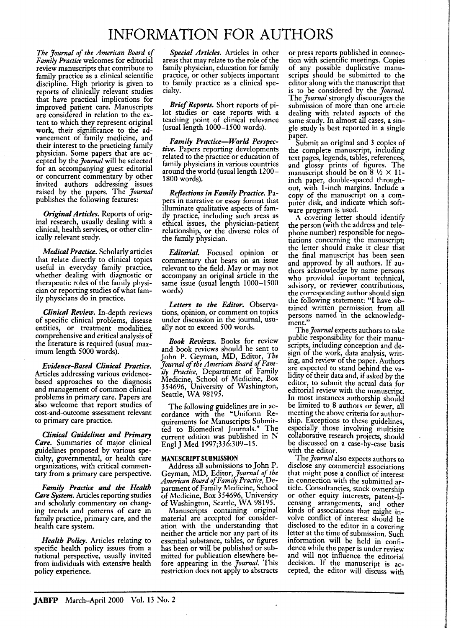# **INFORMATION FOR AUTHORS**

*The Journal of the American Board of Family Practice* welcomes for editorial review manuscripts that contribute to family practice as a clinical scientific discipline. High priority is given to reports of clinically relevant studies that have practical implications for improved patient care. Manuscripts are considered in relation to the extent to which they represent original work, their significance to the advancement of family medicine, and their interest to the practicing family physician. Some papers that are accepted by the *Journal* will be selected for an accompanying guest editorial or concurrent commentary by other invited authors addressing issues raised by the papers. The *Journal*  publishes the following features:

*Original Articles.* Reports of original research, usually dealing with a clinical, health services, or other clinically relevant study.

*Medical Practice.* Scholarly articles that relate directly to clinical topics useful in everyday family practice, whether dealing with diagnostic or therapeutic roles of the family physician or reporting studies of what family physicians do in practice.

*Clinical Review.* In-depth reviews of specific clinical problems, disease entities, or treatment modalities; comprehensive and critical analysis of the literature is required (usual maximum length 5000 words).

*Evidence-Based Clinical Practice.*  Articles addressing various evidencebased approaches to the diagnosis and management of common clinical problems in primary care. Papers are also welcome that report studies of cost-and-outcome assessment relevant to primary care practice.

*Clinical Guidelines and Primary Care.* Summaries of major clinical guidelines proposed by various specialty, governmental, or health care organizations, with critical commentary from a primary care perspective.

*Fmnily Practice and the Health*  Care *System.* Articles reporting studies and scholarly commentary on changing trends and patterns of care in family practice, primary care, and the health care system.

*Health Policy.* Articles relating to specific health policy issues from a national perspective, usually invited from individuals with extensive health policy experience.

*Special Articles.* Articles in other areas that may relate to the role of the family physician, education for family practice, or other subjects important to family practice as a clinical specialty.

*Brief Reports.* Short reports of pilot studies or case reports with a teaching point of clinical relevance (usual length 1000-1500 words).

*Family Practice-World Perspective.* Papers reporting developments related to the practice or education of family physicians in various countries around the world (usual length 1200- 1800 words).

*Reflections in Family Practice.* Papers in narrative or essay format that Illuminate qualitative aspects of family practice, including such areas as ethical issues, the physician-patient relationship, or the diverse roles of the family physician.

*Editorial.* Focused opinion or commentary that bears on an issue relevant to the field. Mayor may not accompany an original article in the same issue (usual length 1000-1500 words)

*Letters to the Editor.* Observations, opinion, or comment on topics under discussion in the journal, usually not to exceed 500 words.

*Book Reviews.* Books for review and book reviews should be sent to John P. Geyman, MD, Editor, *The*  Journal of the American Board of Family Practice, Department of Family Medicine, School of Medicine, Box 354696, University of Washington, Seattle, WA 98195.

The following guidelines are in accordance with the "Uniform Requirements for Manuscripts Submitted to Biomedical Journals." The current edition was published in N Engl J Med 1997;336:309-15.

# MANUSCRIPT SUBMISSION

Address all submissions to John P. Geyman, MD, Editor, *Journal of the American Board of Family Practice,* Department of Family Medicine, School of Medicine, Box 354696, University of Washington, Seattle, WA 98195.

Manuscripts containing original material are accepted for consideration with the understanding that neither the article nor any part of its essential substance, tables, or figures has been or will be published or submitted for publication elsewhere before appearing in the *7ournal.* This restriction does not apply to abstracts or press reports published in connection with scientific meetings. Copies of any possible duplicative manuscripts should be submitted to the editor along with the manuscript that is to be considered by the *journal.*  The *Journal* strongly discourages the submission of more than one article dealing with related aspects of the same study. In almost all cases, a single study is best reported in a single paper.

Submit an original and 3 copies of the complete manuscript, including text pages, legends, tables, references, and glossy prints of figures. The manuscript should be on  $8\frac{1}{2} \times 11$ inch paper, double-spaced throughout, with I-inch margins. Include a copy of the manuscript on a computer disk, and indicate which software program is used.

A covering letter should identify the person (with the address and telephone number) responsible for negotiations concerning the manuscript; the letter should make it clear that the final manuscript has been seen and approved by all authors. If authors acknowledge by name persons who provided important technical, advisory, or reviewer contributions, the corresponding author should sign the following statement: "I have obtained written permission from all persons named in the acknowledgment."

The *Journal* expects authors to take public responsibility for their manuscripts, including conception and design of the work, data analysis, writing, and review of the paper. Authors are expected to stand behind the validity of their data and, if asked by the editor, to submit the actual data for editorial review with the manuscript. In most instances authorship should be limited to 8 authors or fewer, all meeting the above criteria for authorship. Exceptions to these guidelines, especially those involving multisite collaborative research projects, should be discussed on a case-by-case basis with the editor.

The *Journal* also expects authors to disclose any commercial associations that might pose a conflict of interest in connection with the submitted article. Consultancies, stock ownership or other equity interests, patent-licensing arrangements, and other kinds of associations that might involve conflict of interest should be disclosed to the editor in a covering letter at the time of submission. Such information will be held in confidence while the paper is under review and will not influence the editorial decision. If the manuscript is accepted, the editor will discuss with